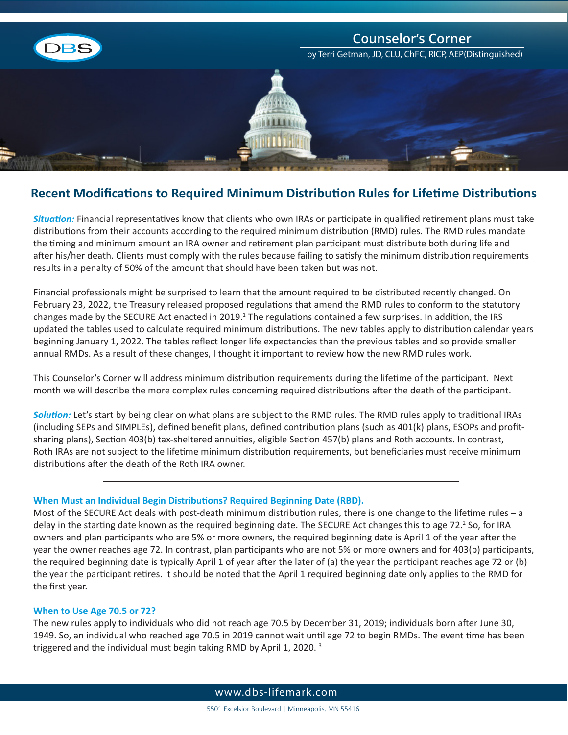

# **Recent Modifications to Required Minimum Distribution Rules for Lifetime Distributions**

*Situation:* Financial representatives know that clients who own IRAs or participate in qualified retirement plans must take distributions from their accounts according to the required minimum distribution (RMD) rules. The RMD rules mandate the timing and minimum amount an IRA owner and retirement plan participant must distribute both during life and after his/her death. Clients must comply with the rules because failing to satisfy the minimum distribution requirements results in a penalty of 50% of the amount that should have been taken but was not.

Financial professionals might be surprised to learn that the amount required to be distributed recently changed. On February 23, 2022, the Treasury released proposed regulations that amend the RMD rules to conform to the statutory changes made by the SECURE Act enacted in 2019.<sup>1</sup> The regulations contained a few surprises. In addition, the IRS updated the tables used to calculate required minimum distributions. The new tables apply to distribution calendar years beginning January 1, 2022. The tables reflect longer life expectancies than the previous tables and so provide smaller annual RMDs. As a result of these changes, I thought it important to review how the new RMD rules work.

This Counselor's Corner will address minimum distribution requirements during the lifetime of the participant. Next month we will describe the more complex rules concerning required distributions after the death of the participant.

*Solution:* Let's start by being clear on what plans are subject to the RMD rules. The RMD rules apply to traditional IRAs (including SEPs and SIMPLEs), defined benefit plans, defined contribution plans (such as 401(k) plans, ESOPs and profitsharing plans), Section 403(b) tax-sheltered annuities, eligible Section 457(b) plans and Roth accounts. In contrast, Roth IRAs are not subject to the lifetime minimum distribution requirements, but beneficiaries must receive minimum distributions after the death of the Roth IRA owner.

### **When Must an Individual Begin Distributions? Required Beginning Date (RBD).**

Most of the SECURE Act deals with post-death minimum distribution rules, there is one change to the lifetime rules – a delay in the starting date known as the required beginning date. The SECURE Act changes this to age 72.<sup>2</sup> So, for IRA owners and plan participants who are 5% or more owners, the required beginning date is April 1 of the year after the year the owner reaches age 72. In contrast, plan participants who are not 5% or more owners and for 403(b) participants, the required beginning date is typically April 1 of year after the later of (a) the year the participant reaches age 72 or (b) the year the participant retires. It should be noted that the April 1 required beginning date only applies to the RMD for the first year.

### **When to Use Age 70.5 or 72?**

The new rules apply to individuals who did not reach age 70.5 by December 31, 2019; individuals born after June 30, 1949. So, an individual who reached age 70.5 in 2019 cannot wait until age 72 to begin RMDs. The event time has been triggered and the individual must begin taking RMD by April 1, 2020. 3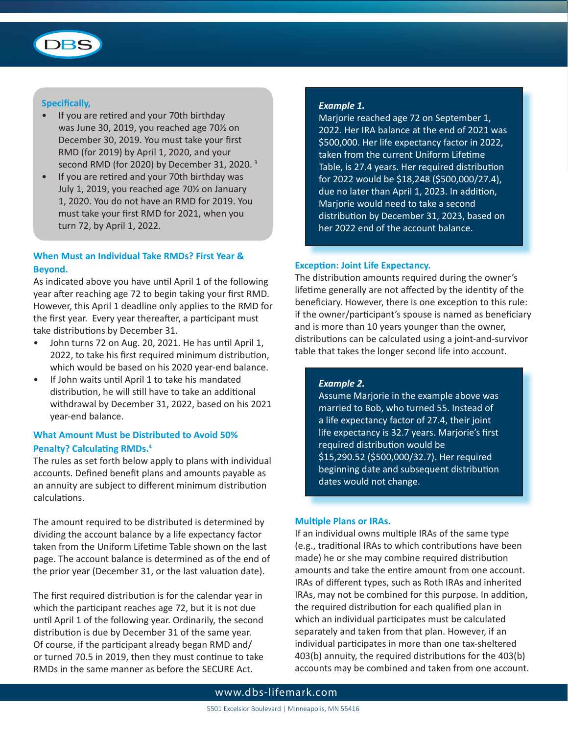

### **Specifically,**

- If you are retired and your 70th birthday was June 30, 2019, you reached age 70½ on December 30, 2019. You must take your first RMD (for 2019) by April 1, 2020, and your second RMD (for 2020) by December 31, 2020. 3
- If you are retired and your 70th birthday was July 1, 2019, you reached age 70½ on January 1, 2020. You do not have an RMD for 2019. You must take your first RMD for 2021, when you turn 72, by April 1, 2022.

# **When Must an Individual Take RMDs? First Year & Beyond.**

As indicated above you have until April 1 of the following year after reaching age 72 to begin taking your first RMD. However, this April 1 deadline only applies to the RMD for the first year. Every year thereafter, a participant must take distributions by December 31.

- John turns 72 on Aug. 20, 2021. He has until April 1, 2022, to take his first required minimum distribution, which would be based on his 2020 year-end balance.
- If John waits until April 1 to take his mandated distribution, he will still have to take an additional withdrawal by December 31, 2022, based on his 2021 year-end balance.

# **What Amount Must be Distributed to Avoid 50% Penalty? Calculating RMDs.<sup>4</sup>**

The rules as set forth below apply to plans with individual accounts. Defined benefit plans and amounts payable as an annuity are subject to different minimum distribution calculations.

The amount required to be distributed is determined by dividing the account balance by a life expectancy factor taken from the Uniform Lifetime Table shown on the last page. The account balance is determined as of the end of the prior year (December 31, or the last valuation date).

The first required distribution is for the calendar year in which the participant reaches age 72, but it is not due until April 1 of the following year. Ordinarily, the second distribution is due by December 31 of the same year. Of course, if the participant already began RMD and/ or turned 70.5 in 2019, then they must continue to take RMDs in the same manner as before the SECURE Act.

#### *Example 1.*

Marjorie reached age 72 on September 1, 2022. Her IRA balance at the end of 2021 was \$500,000. Her life expectancy factor in 2022, taken from the current Uniform Lifetime Table, is 27.4 years. Her required distribution for 2022 would be \$18,248 (\$500,000/27.4), due no later than April 1, 2023. In addition, Marjorie would need to take a second distribution by December 31, 2023, based on her 2022 end of the account balance.

### **Exception: Joint Life Expectancy.**

The distribution amounts required during the owner's lifetime generally are not affected by the identity of the beneficiary. However, there is one exception to this rule: if the owner/participant's spouse is named as beneficiary and is more than 10 years younger than the owner, distributions can be calculated using a joint-and-survivor table that takes the longer second life into account.

### *Example 2.*

Assume Marjorie in the example above was married to Bob, who turned 55. Instead of a life expectancy factor of 27.4, their joint life expectancy is 32.7 years. Marjorie's first required distribution would be \$15,290.52 (\$500,000/32.7). Her required beginning date and subsequent distribution dates would not change.

#### **Multiple Plans or IRAs.**

If an individual owns multiple IRAs of the same type (e.g., traditional IRAs to which contributions have been made) he or she may combine required distribution amounts and take the entire amount from one account. IRAs of different types, such as Roth IRAs and inherited IRAs, may not be combined for this purpose. In addition, the required distribution for each qualified plan in which an individual participates must be calculated separately and taken from that plan. However, if an individual participates in more than one tax-sheltered 403(b) annuity, the required distributions for the 403(b) accounts may be combined and taken from one account.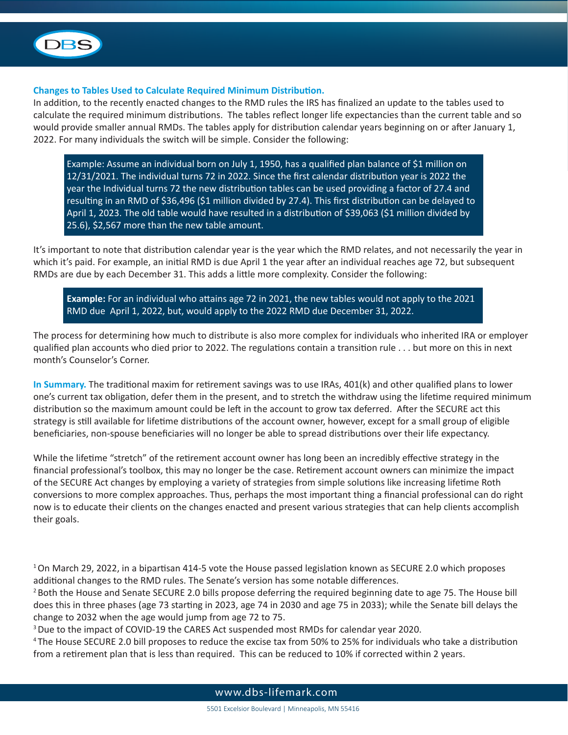

## **Changes to Tables Used to Calculate Required Minimum Distribution.**

In addition, to the recently enacted changes to the RMD rules the IRS has finalized an update to the tables used to calculate the required minimum distributions. The tables reflect longer life expectancies than the current table and so would provide smaller annual RMDs. The tables apply for distribution calendar years beginning on or after January 1, 2022. For many individuals the switch will be simple. Consider the following:

Example: Assume an individual born on July 1, 1950, has a qualified plan balance of \$1 million on 12/31/2021. The individual turns 72 in 2022. Since the first calendar distribution year is 2022 the year the Individual turns 72 the new distribution tables can be used providing a factor of 27.4 and resulting in an RMD of \$36,496 (\$1 million divided by 27.4). This first distribution can be delayed to April 1, 2023. The old table would have resulted in a distribution of \$39,063 (\$1 million divided by 25.6), \$2,567 more than the new table amount.

It's important to note that distribution calendar year is the year which the RMD relates, and not necessarily the year in which it's paid. For example, an initial RMD is due April 1 the year after an individual reaches age 72, but subsequent RMDs are due by each December 31. This adds a little more complexity. Consider the following:

**Example:** For an individual who attains age 72 in 2021, the new tables would not apply to the 2021 RMD due April 1, 2022, but, would apply to the 2022 RMD due December 31, 2022.

The process for determining how much to distribute is also more complex for individuals who inherited IRA or employer qualified plan accounts who died prior to 2022. The regulations contain a transition rule . . . but more on this in next month's Counselor's Corner.

**In Summary.** The traditional maxim for retirement savings was to use IRAs, 401(k) and other qualified plans to lower one's current tax obligation, defer them in the present, and to stretch the withdraw using the lifetime required minimum distribution so the maximum amount could be left in the account to grow tax deferred. After the SECURE act this strategy is still available for lifetime distributions of the account owner, however, except for a small group of eligible beneficiaries, non-spouse beneficiaries will no longer be able to spread distributions over their life expectancy.

While the lifetime "stretch" of the retirement account owner has long been an incredibly effective strategy in the financial professional's toolbox, this may no longer be the case. Retirement account owners can minimize the impact of the SECURE Act changes by employing a variety of strategies from simple solutions like increasing lifetime Roth conversions to more complex approaches. Thus, perhaps the most important thing a financial professional can do right now is to educate their clients on the changes enacted and present various strategies that can help clients accomplish their goals.

1 On March 29, 2022, in a bipartisan 414-5 vote the House passed legislation known as SECURE 2.0 which proposes additional changes to the RMD rules. The Senate's version has some notable differences.

<sup>2</sup> Both the House and Senate SECURE 2.0 bills propose deferring the required beginning date to age 75. The House bill does this in three phases (age 73 starting in 2023, age 74 in 2030 and age 75 in 2033); while the Senate bill delays the change to 2032 when the age would jump from age 72 to 75.

<sup>3</sup> Due to the impact of COVID-19 the CARES Act suspended most RMDs for calendar year 2020.

4 The House SECURE 2.0 bill proposes to reduce the excise tax from 50% to 25% for individuals who take a distribution from a retirement plan that is less than required. This can be reduced to 10% if corrected within 2 years.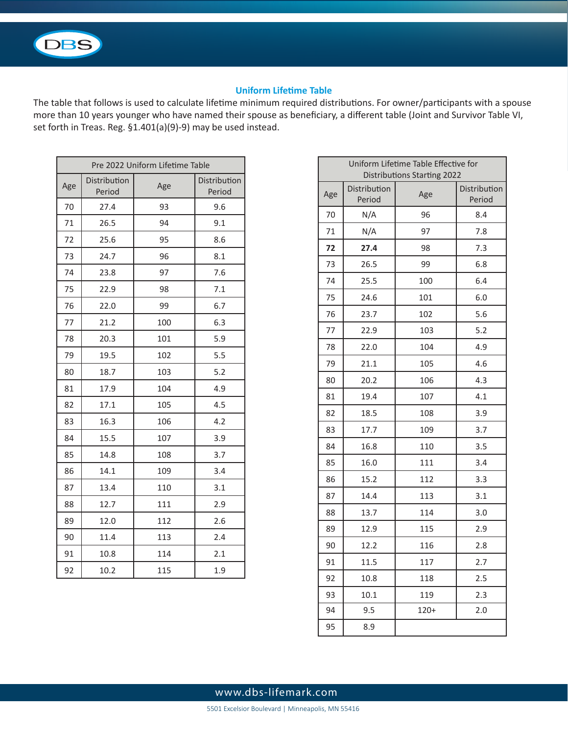

# **Uniform Lifetime Table**

The table that follows is used to calculate lifetime minimum required distributions. For owner/participants with a spouse more than 10 years younger who have named their spouse as beneficiary, a different table (Joint and Survivor Table VI, set forth in Treas. Reg. §1.401(a)(9)-9) may be used instead.

| Pre 2022 Uniform Lifetime Table |                        |     |                        |  |
|---------------------------------|------------------------|-----|------------------------|--|
| Age                             | Distribution<br>Period | Age | Distribution<br>Period |  |
| 70                              | 27.4                   | 93  | 9.6                    |  |
| 71                              | 26.5                   | 94  | 9.1                    |  |
| 72                              | 25.6                   | 95  | 8.6                    |  |
| 73                              | 24.7                   | 96  | 8.1                    |  |
| 74                              | 23.8                   | 97  | 7.6                    |  |
| 75                              | 22.9                   | 98  | 7.1                    |  |
| 76                              | 22.0                   | 99  | 6.7                    |  |
| 77                              | 21.2                   | 100 | 6.3                    |  |
| 78                              | 20.3                   | 101 | 5.9                    |  |
| 79                              | 19.5                   | 102 | 5.5                    |  |
| 80                              | 18.7                   | 103 | 5.2                    |  |
| 81                              | 17.9                   | 104 | 4.9                    |  |
| 82                              | 17.1                   | 105 | 4.5                    |  |
| 83                              | 16.3                   | 106 | 4.2                    |  |
| 84                              | 15.5                   | 107 | 3.9                    |  |
| 85                              | 14.8                   | 108 | 3.7                    |  |
| 86                              | 14.1                   | 109 | 3.4                    |  |
| 87                              | 13.4                   | 110 | 3.1                    |  |
| 88                              | 12.7                   | 111 | 2.9                    |  |
| 89                              | 12.0                   | 112 | 2.6                    |  |
| 90                              | 11.4                   | 113 | 2.4                    |  |
| 91                              | 10.8                   | 114 | 2.1                    |  |
| 92                              | 10.2                   | 115 | 1.9                    |  |

| Uniform Lifetime Table Effective for<br><b>Distributions Starting 2022</b> |                        |        |                        |  |
|----------------------------------------------------------------------------|------------------------|--------|------------------------|--|
| Age                                                                        | Distribution<br>Period | Age    | Distribution<br>Period |  |
| 70                                                                         | N/A                    | 96     | 8.4                    |  |
| 71                                                                         | N/A                    | 97     | 7.8                    |  |
| 72                                                                         | 27.4                   | 98     | 7.3                    |  |
| 73                                                                         | 26.5                   | 99     | 6.8                    |  |
| 74                                                                         | 25.5                   | 100    | 6.4                    |  |
| 75                                                                         | 24.6                   | 101    | 6.0                    |  |
| 76                                                                         | 23.7                   | 102    | 5.6                    |  |
| 77                                                                         | 22.9                   | 103    | 5.2                    |  |
| 78                                                                         | 22.0                   | 104    | 4.9                    |  |
| 79                                                                         | 21.1                   | 105    | 4.6                    |  |
| 80                                                                         | 20.2                   | 106    | 4.3                    |  |
| 81                                                                         | 19.4                   | 107    | 4.1                    |  |
| 82                                                                         | 18.5                   | 108    | 3.9                    |  |
| 83                                                                         | 17.7                   | 109    | 3.7                    |  |
| 84                                                                         | 16.8                   | 110    | 3.5                    |  |
| 85                                                                         | 16.0                   | 111    | 3.4                    |  |
| 86                                                                         | 15.2                   | 112    | 3.3                    |  |
| 87                                                                         | 14.4                   | 113    | 3.1                    |  |
| 88                                                                         | 13.7                   | 114    | 3.0                    |  |
| 89                                                                         | 12.9                   | 115    | 2.9                    |  |
| 90                                                                         | 12.2                   | 116    | 2.8                    |  |
| 91                                                                         | 11.5                   | 117    | 2.7                    |  |
| 92                                                                         | 10.8                   | 118    | 2.5                    |  |
| 93                                                                         | 10.1                   | 119    | 2.3                    |  |
| 94                                                                         | 9.5                    | $120+$ | 2.0                    |  |
| 95                                                                         | 8.9                    |        |                        |  |